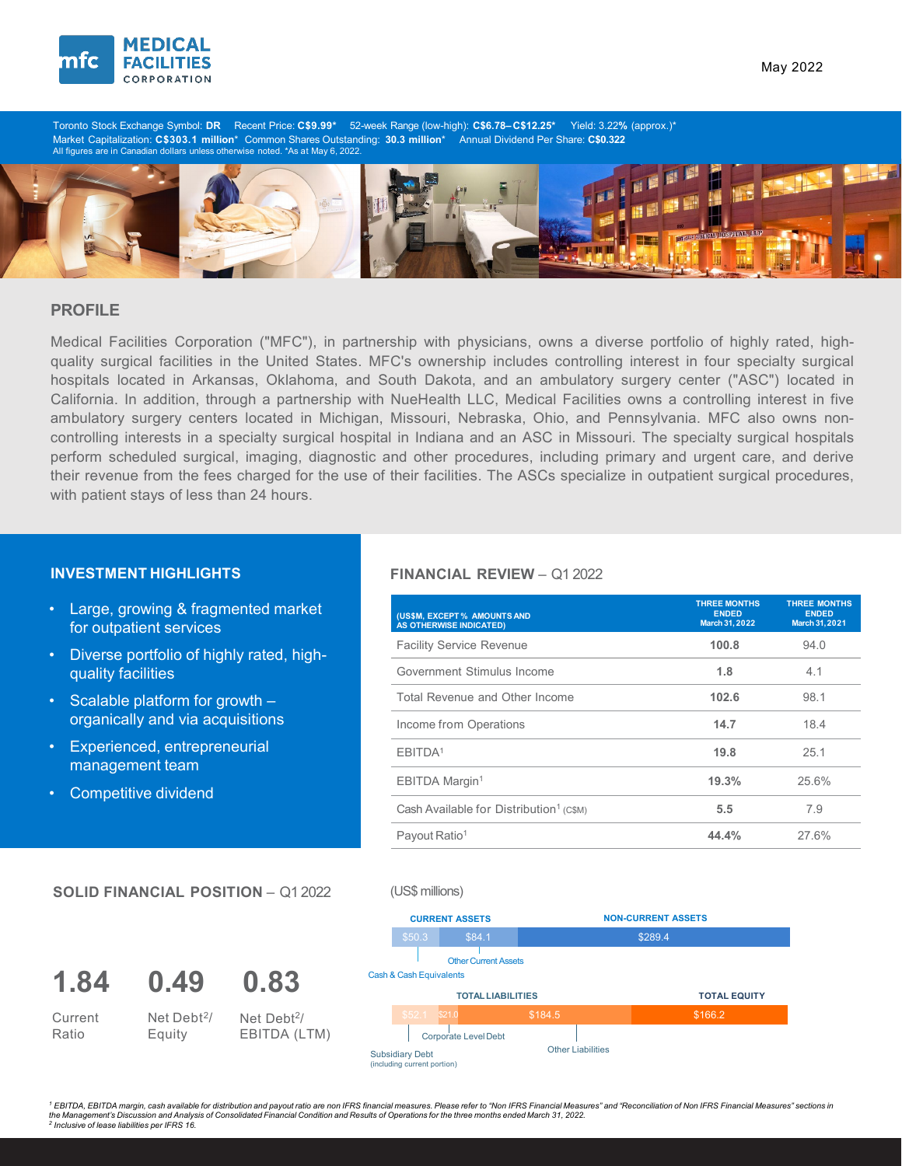

May 2022

Toronto Stock Exchange Symbol: **DR** Recent Price: **C\$9.99\*** 52-week Range (low-high): **C\$6.78– C\$12.25\*** Yield: 3.22**%** (approx.)\* Market Capitalization: **C\$303.1 million\*** Common Shares Outstanding: **30.3 million\*** Annual Dividend Per Share: **C\$0.322**<br>All figures are in Canadian dollars unless otherwise noted. \*As at May 6, 2022.



# **PROFILE**

Medical Facilities Corporation ("MFC"), in partnership with physicians, owns a diverse portfolio of highly rated, highquality surgical facilities in the United States. MFC's ownership includes controlling interest in four specialty surgical hospitals located in Arkansas, Oklahoma, and South Dakota, and an ambulatory surgery center ("ASC") located in California. In addition, through a partnership with NueHealth LLC, Medical Facilities owns a controlling interest in five ambulatory surgery centers located in Michigan, Missouri, Nebraska, Ohio, and Pennsylvania. MFC also owns noncontrolling interests in a specialty surgical hospital in Indiana and an ASC in Missouri. The specialty surgical hospitals perform scheduled surgical, imaging, diagnostic and other procedures, including primary and urgent care, and derive their revenue from the fees charged for the use of their facilities. The ASCs specialize in outpatient surgical procedures, with patient stays of less than 24 hours.

- Large, growing & fragmented market for outpatient services
- Diverse portfolio of highly rated, highquality facilities
- Scalable platform for growth organically and via acquisitions
- Experienced, entrepreneurial management team

Net Debt2/ Equity

**0.49**

**SOLID FINANCIAL POSITION** – Q1 2022

**0.83**

Net Debt2/ EBITDA (LTM)

• Competitive dividend

**1.84**

Current Ratio

## **INVESTMENT HIGHLIGHTS FINANCIAL REVIEW** – Q1 2022

| (US\$M, EXCEPT% AMOUNTS AND<br>AS OTHERWISE INDICATED) | <b>THREE MONTHS</b><br><b>ENDED</b><br>March 31, 2022 | <b>THREE MONTHS</b><br><b>ENDED</b><br>March 31, 2021 |
|--------------------------------------------------------|-------------------------------------------------------|-------------------------------------------------------|
| <b>Facility Service Revenue</b>                        | 100.8                                                 | 94.0                                                  |
| Government Stimulus Income                             | 1.8                                                   | 4.1                                                   |
| Total Revenue and Other Income                         | 102.6                                                 | 98.1                                                  |
| Income from Operations                                 | 14.7                                                  | 18.4                                                  |
| EBITDA <sup>1</sup>                                    | 19.8                                                  | 25.1                                                  |
| EBITDA Margin <sup>1</sup>                             | 19.3%                                                 | 25.6%                                                 |
| Cash Available for Distribution <sup>1</sup> (C\$M)    | 5.5                                                   | 7.9                                                   |
| Payout Ratio <sup>1</sup>                              | 44.4%                                                 | 27.6%                                                 |

### (US\$ millions)

|                         |                                                       | <b>CURRENT ASSETS</b>       |         | <b>NON-CURRENT ASSETS</b> |         |                     |  |  |
|-------------------------|-------------------------------------------------------|-----------------------------|---------|---------------------------|---------|---------------------|--|--|
|                         | \$50.3                                                | \$84.1                      |         |                           | \$289.4 |                     |  |  |
|                         |                                                       | <b>Other Current Assets</b> |         |                           |         |                     |  |  |
| Cash & Cash Equivalents |                                                       |                             |         |                           |         |                     |  |  |
|                         | <b>TOTAL LIABILITIES</b>                              |                             |         |                           |         | <b>TOTAL EQUITY</b> |  |  |
|                         | \$52.1                                                | S21.0                       | \$184.5 |                           |         | \$166.2             |  |  |
|                         |                                                       | <b>Corporate Level Debt</b> |         |                           |         |                     |  |  |
|                         | <b>Subsidiary Debt</b><br>(including current portion) |                             |         | <b>Other Liabilities</b>  |         |                     |  |  |

<sup>1</sup> EBITDA. EBITDA margin, cash available for distribution and payout ratio are non IFRS financial measures. Please refer to "Non IFRS Financial Measures" and "Reconciliation of Non IFRS Financial Measures" sections in *the Management's Discussion and Analysis of Consolidated Financial Condition and Results of Operations for the three months ended March 31, 2022. <sup>2</sup> Inclusive of lease liabilities per IFRS 16.*